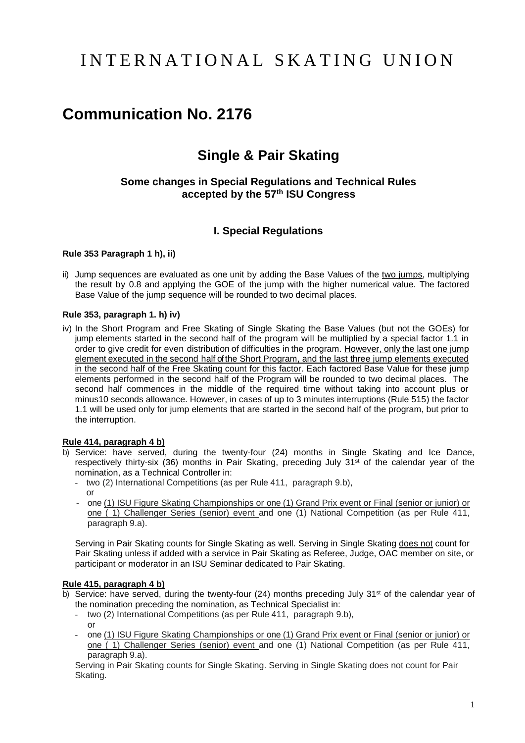# I N T E R N A T I O N A L S K A T I N G U N I O N

# **Communication No. 2176**

# **Single & Pair Skating**

## **Some changes in Special Regulations and Technical Rules accepted by the 57th ISU Congress**

# **I. Special Regulations**

#### **Rule 353 Paragraph 1 h), ii)**

ii) Jump sequences are evaluated as one unit by adding the Base Values of the two jumps, multiplying the result by 0.8 and applying the GOE of the jump with the higher numerical value. The factored Base Value of the jump sequence will be rounded to two decimal places.

#### **Rule 353, paragraph 1. h) iv)**

iv) In the Short Program and Free Skating of Single Skating the Base Values (but not the GOEs) for jump elements started in the second half of the program will be multiplied by a special factor 1.1 in order to give credit for even distribution of difficulties in the program. However, only the last one jump element executed in the second half of the Short Program, and the last three jump elements executed in the second half of the Free Skating count for this factor. Each factored Base Value for these jump elements performed in the second half of the Program will be rounded to two decimal places. The second half commences in the middle of the required time without taking into account plus or minus10 seconds allowance. However, in cases of up to 3 minutes interruptions (Rule 515) the factor 1.1 will be used only for jump elements that are started in the second half of the program, but prior to the interruption.

#### **Rule 414, paragraph 4 b)**

- b) Service: have served, during the twenty-four (24) months in Single Skating and Ice Dance, respectively thirty-six (36) months in Pair Skating, preceding July  $31^{st}$  of the calendar year of the nomination, as a Technical Controller in:
	- two (2) International Competitions (as per Rule 411, paragraph 9.b), or
	- one (1) ISU Figure Skating Championships or one (1) Grand Prix event or Final (senior or junior) or one ( 1) Challenger Series (senior) event and one (1) National Competition (as per Rule 411, paragraph 9.a).

Serving in Pair Skating counts for Single Skating as well. Serving in Single Skating does not count for Pair Skating unless if added with a service in Pair Skating as Referee, Judge, OAC member on site, or participant or moderator in an ISU Seminar dedicated to Pair Skating.

#### **Rule 415, paragraph 4 b)**

- b) Service: have served, during the twenty-four (24) months preceding July 31<sup>st</sup> of the calendar year of the nomination preceding the nomination, as Technical Specialist in:
	- two (2) International Competitions (as per Rule 411, paragraph 9.b), or
	- one (1) ISU Figure Skating Championships or one (1) Grand Prix event or Final (senior or junior) or one ( 1) Challenger Series (senior) event and one (1) National Competition (as per Rule 411, paragraph 9.a).

Serving in Pair Skating counts for Single Skating. Serving in Single Skating does not count for Pair Skating.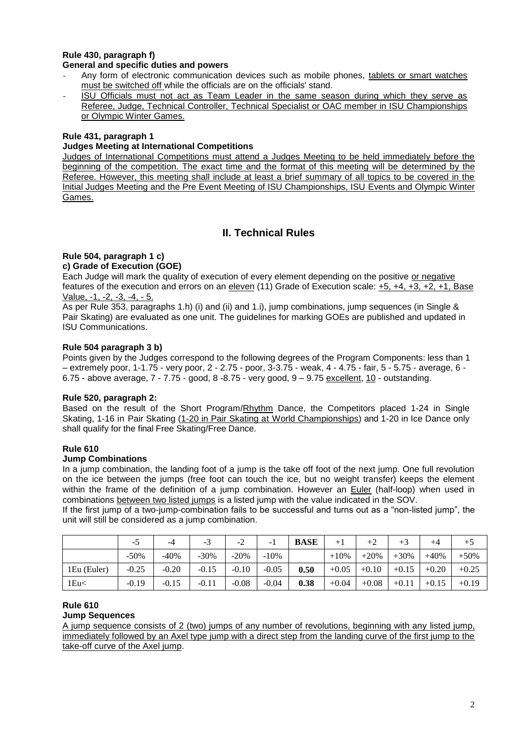#### **Rule 430, paragraph f) General and specific duties and powers**

- Any form of electronic communication devices such as mobile phones, tablets or smart watches must be switched off while the officials are on the officials' stand.
- ISU Officials must not act as Team Leader in the same season during which they serve as Referee, Judge, Technical Controller, Technical Specialist or OAC member in ISU Championships or Olympic Winter Games.

### **Rule 431, paragraph 1**

#### **Judges Meeting at International Competitions**

Judges of International Competitions must attend a Judges Meeting to be held immediately before the beginning of the competition. The exact time and the format of this meeting will be determined by the Referee. However, this meeting shall include at least a brief summary of all topics to be covered in the Initial Judges Meeting and the Pre Event Meeting of ISU Championships, ISU Events and Olympic Winter Games.

# **II. Technical Rules**

# **Rule 504, paragraph 1 c)**

## **c) Grade of Execution (GOE)**

Each Judge will mark the quality of execution of every element depending on the positive or negative features of the execution and errors on an eleven (11) Grade of Execution scale: +5, +4, +3, +2, +1, Base Value, -1, -2, -3, -4, - 5.

As per Rule 353, paragraphs 1.h) (i) and (ii) and 1.i), jump combinations, jump sequences (in Single & Pair Skating) are evaluated as one unit. The guidelines for marking GOEs are published and updated in ISU Communications.

#### **Rule 504 paragraph 3 b)**

Points given by the Judges correspond to the following degrees of the Program Components: less than 1 – extremely poor, 1-1.75 - very poor, 2 - 2.75 - poor, 3-3.75 - weak, 4 - 4.75 - fair, 5 - 5.75 - average, 6 - 6.75 - above average, 7 - 7.75 - good, 8 -8.75 - very good, 9 – 9.75 excellent, 10 - outstanding.

#### **Rule 520, paragraph 2:**

 Based on the result of the Short Program/Rhythm Dance, the Competitors placed 1-24 in Single Skating, 1-16 in Pair Skating (1-20 in Pair Skating at World Championships) and 1-20 in Ice Dance only shall qualify for the final Free Skating/Free Dance.

#### **Rule 610**

#### **Jump Combinations**

In a jump combination, the landing foot of a jump is the take off foot of the next jump. One full revolution on the ice between the jumps (free foot can touch the ice, but no weight transfer) keeps the element within the frame of the definition of a jump combination. However an Euler (half-loop) when used in combinations between two listed jumps is a listed jump with the value indicated in the SOV.

If the first jump of a two-jump-combination fails to be successful and turns out as a "non-listed jump", the unit will still be considered as a jump combination.

|             | -0      | -4      | $-3$    | $-2$    |         | <b>BASE</b> | $+1$    | $+2$    |         | $+4$    | $+5$    |
|-------------|---------|---------|---------|---------|---------|-------------|---------|---------|---------|---------|---------|
|             | $-50%$  | $-40%$  | $-30%$  | $-20%$  | $-10%$  |             | $+10%$  | $+20%$  | $+30%$  | $+40%$  | $+50%$  |
| 1Eu (Euler) | $-0.25$ | $-0.20$ | $-0.15$ | $-0.10$ | $-0.05$ | 0.50        | $+0.05$ | $+0.10$ | $+0.15$ | $+0.20$ | $+0.25$ |
| 1Eu<        | $-0.19$ | $-0.15$ | $-0.11$ | $-0.08$ | $-0.04$ | 0.38        | $+0.04$ | $+0.08$ | $+0.11$ | $+0.15$ | $+0.19$ |

#### **Rule 610 Jump Sequences**

A jump sequence consists of 2 (two) jumps of any number of revolutions, beginning with any listed jump, immediately followed by an Axel type jump with a direct step from the landing curve of the first jump to the take-off curve of the Axel jump.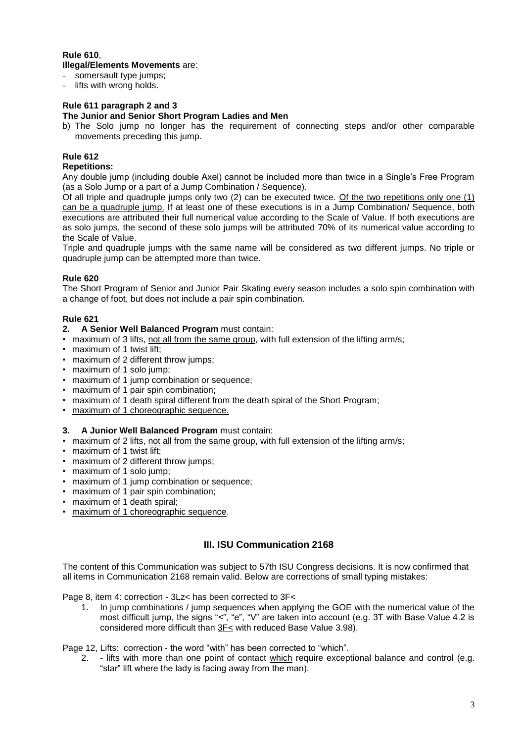# **Rule 610**, **Illegal/Elements Movements** are:

- somersault type jumps;
- lifts with wrong holds.

## **Rule 611 paragraph 2 and 3**

#### **The Junior and Senior Short Program Ladies and Men**

b) The Solo jump no longer has the requirement of connecting steps and/or other comparable movements preceding this jump.

### **Rule 612**

#### **Repetitions:**

Any double jump (including double Axel) cannot be included more than twice in a Single's Free Program (as a Solo Jump or a part of a Jump Combination / Sequence).

Of all triple and quadruple jumps only two (2) can be executed twice. Of the two repetitions only one (1) can be a quadruple jump. If at least one of these executions is in a Jump Combination/ Sequence, both executions are attributed their full numerical value according to the Scale of Value. If both executions are as solo jumps, the second of these solo jumps will be attributed 70% of its numerical value according to the Scale of Value.

Triple and quadruple jumps with the same name will be considered as two different jumps. No triple or quadruple jump can be attempted more than twice.

#### **Rule 620**

The Short Program of Senior and Junior Pair Skating every season includes a solo spin combination with a change of foot, but does not include a pair spin combination.

#### **Rule 621**

- **2. A Senior Well Balanced Program** must contain:
- maximum of 3 lifts, not all from the same group, with full extension of the lifting arm/s;
- maximum of 1 twist lift;
- maximum of 2 different throw jumps;
- maximum of 1 solo jump;
- maximum of 1 jump combination or sequence;
- maximum of 1 pair spin combination;
- maximum of 1 death spiral different from the death spiral of the Short Program;
- maximum of 1 choreographic sequence.

#### **3. A Junior Well Balanced Program** must contain:

- maximum of 2 lifts, not all from the same group, with full extension of the lifting arm/s;
- maximum of 1 twist lift;
- maximum of 2 different throw jumps;
- maximum of 1 solo jump;
- maximum of 1 jump combination or sequence;
- maximum of 1 pair spin combination;
- maximum of 1 death spiral;
- maximum of 1 choreographic sequence.

# **III. ISU Communication 2168**

The content of this Communication was subject to 57th ISU Congress decisions. It is now confirmed that all items in Communication 2168 remain valid. Below are corrections of small typing mistakes:

Page 8, item 4: correction - 3Lz< has been corrected to 3F<

1. In jump combinations / jump sequences when applying the GOE with the numerical value of the most difficult jump, the signs "<", "e", "V" are taken into account (e.g. 3T with Base Value 4.2 is considered more difficult than 3F< with reduced Base Value 3.98).

Page 12, Lifts: correction - the word "with" has been corrected to "which".

2. - lifts with more than one point of contact which require exceptional balance and control (e.g. "star" lift where the lady is facing away from the man).